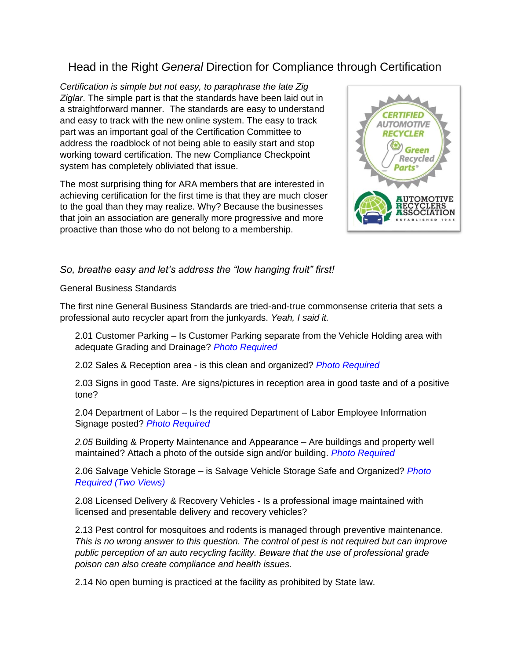## Head in the Right *General* Direction for Compliance through Certification

*Certification is simple but not easy, to paraphrase the late Zig Ziglar*. The simple part is that the standards have been laid out in a straightforward manner. The standards are easy to understand and easy to track with the new online system. The easy to track part was an important goal of the Certification Committee to address the roadblock of not being able to easily start and stop working toward certification. The new Compliance Checkpoint system has completely obliviated that issue.

The most surprising thing for ARA members that are interested in achieving certification for the first time is that they are much closer to the goal than they may realize. Why? Because the businesses that join an association are generally more progressive and more proactive than those who do not belong to a membership.



## *So, breathe easy and let's address the "low hanging fruit" first!*

General Business Standards

The first nine General Business Standards are tried-and-true commonsense criteria that sets a professional auto recycler apart from the junkyards. *Yeah, I said it.*

2.01 Customer Parking – Is Customer Parking separate from the Vehicle Holding area with adequate Grading and Drainage? *Photo Required*

2.02 Sales & Reception area - is this clean and organized? *Photo Required*

2.03 Signs in good Taste. Are signs/pictures in reception area in good taste and of a positive tone?

2.04 Department of Labor – Is the required Department of Labor Employee Information Signage posted? *Photo Required*

*2.05* Building & Property Maintenance and Appearance – Are buildings and property well maintained? Attach a photo of the outside sign and/or building. *Photo Required*

2.06 Salvage Vehicle Storage – is Salvage Vehicle Storage Safe and Organized? *Photo Required (Two Views)*

2.08 Licensed Delivery & Recovery Vehicles - Is a professional image maintained with licensed and presentable delivery and recovery vehicles?

2.13 Pest control for mosquitoes and rodents is managed through preventive maintenance. *This is no wrong answer to this question. The control of pest is not required but can improve public perception of an auto recycling facility. Beware that the use of professional grade poison can also create compliance and health issues.*

2.14 No open burning is practiced at the facility as prohibited by State law.